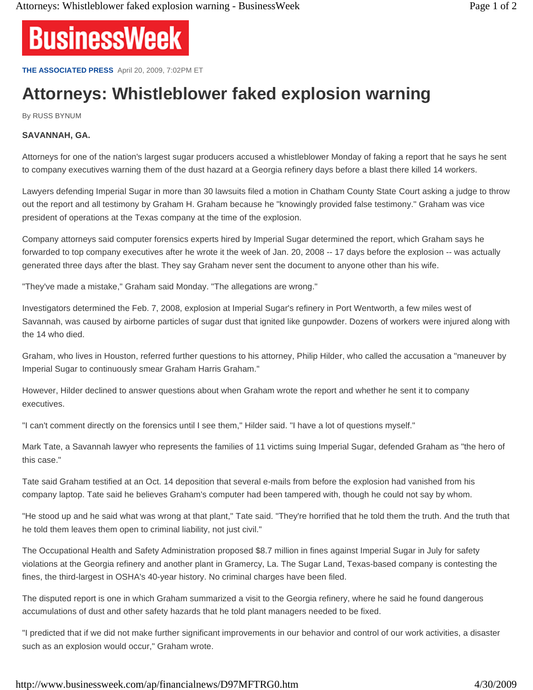

**THE ASSOCIATED PRESS** April 20, 2009, 7:02PM ET

## **Attorneys: Whistleblower faked explosion warning**

By RUSS BYNUM

## **SAVANNAH, GA.**

Attorneys for one of the nation's largest sugar producers accused a whistleblower Monday of faking a report that he says he sent to company executives warning them of the dust hazard at a Georgia refinery days before a blast there killed 14 workers.

Lawyers defending Imperial Sugar in more than 30 lawsuits filed a motion in Chatham County State Court asking a judge to throw out the report and all testimony by Graham H. Graham because he "knowingly provided false testimony." Graham was vice president of operations at the Texas company at the time of the explosion.

Company attorneys said computer forensics experts hired by Imperial Sugar determined the report, which Graham says he forwarded to top company executives after he wrote it the week of Jan. 20, 2008 -- 17 days before the explosion -- was actually generated three days after the blast. They say Graham never sent the document to anyone other than his wife.

"They've made a mistake," Graham said Monday. "The allegations are wrong."

Investigators determined the Feb. 7, 2008, explosion at Imperial Sugar's refinery in Port Wentworth, a few miles west of Savannah, was caused by airborne particles of sugar dust that ignited like gunpowder. Dozens of workers were injured along with the 14 who died.

Graham, who lives in Houston, referred further questions to his attorney, Philip Hilder, who called the accusation a "maneuver by Imperial Sugar to continuously smear Graham Harris Graham."

However, Hilder declined to answer questions about when Graham wrote the report and whether he sent it to company executives.

"I can't comment directly on the forensics until I see them," Hilder said. "I have a lot of questions myself."

Mark Tate, a Savannah lawyer who represents the families of 11 victims suing Imperial Sugar, defended Graham as "the hero of this case."

Tate said Graham testified at an Oct. 14 deposition that several e-mails from before the explosion had vanished from his company laptop. Tate said he believes Graham's computer had been tampered with, though he could not say by whom.

"He stood up and he said what was wrong at that plant," Tate said. "They're horrified that he told them the truth. And the truth that he told them leaves them open to criminal liability, not just civil."

The Occupational Health and Safety Administration proposed \$8.7 million in fines against Imperial Sugar in July for safety violations at the Georgia refinery and another plant in Gramercy, La. The Sugar Land, Texas-based company is contesting the fines, the third-largest in OSHA's 40-year history. No criminal charges have been filed.

The disputed report is one in which Graham summarized a visit to the Georgia refinery, where he said he found dangerous accumulations of dust and other safety hazards that he told plant managers needed to be fixed.

"I predicted that if we did not make further significant improvements in our behavior and control of our work activities, a disaster such as an explosion would occur," Graham wrote.

http://www.businessweek.com/ap/financialnews/D97MFTRG0.htm 4/30/2009